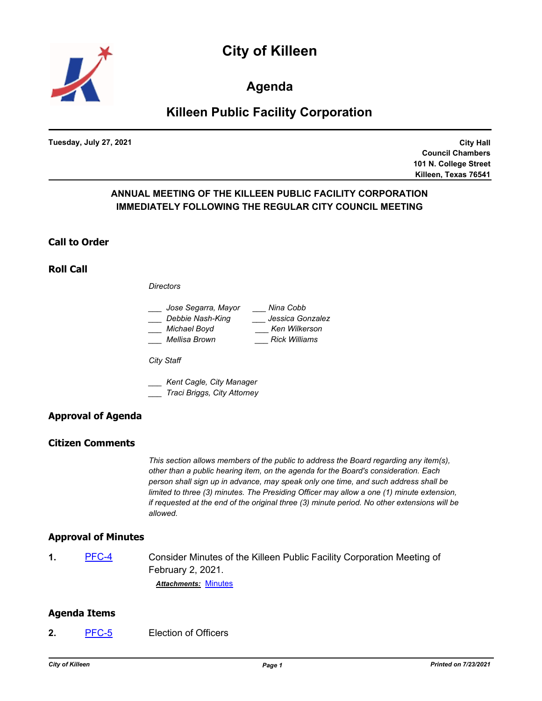



**Agenda**

# **Killeen Public Facility Corporation**

**Tuesday, July 27, 2021**

**City Hall Council Chambers 101 N. College Street Killeen, Texas 76541**

# **ANNUAL MEETING OF THE KILLEEN PUBLIC FACILITY CORPORATION IMMEDIATELY FOLLOWING THE REGULAR CITY COUNCIL MEETING**

#### **Call to Order**

**Roll Call**

*Directors*

| Jose Segarra, Mayor | Nina Cobb            |
|---------------------|----------------------|
| Debbie Nash-King    | Jessica Gonzalez     |
| Michael Boyd        | Ken Wilkerson        |
| Mellisa Brown       | <b>Rick Williams</b> |

*City Staff*

*\_\_\_ Kent Cagle, City Manager*

*\_\_\_ Traci Briggs, City Attorney*

# **Approval of Agenda**

#### **Citizen Comments**

*This section allows members of the public to address the Board regarding any item(s), other than a public hearing item, on the agenda for the Board's consideration. Each person shall sign up in advance, may speak only one time, and such address shall be limited to three (3) minutes. The Presiding Officer may allow a one (1) minute extension, if requested at the end of the original three (3) minute period. No other extensions will be allowed.*

## **Approval of Minutes**

**1.** [PFC-4](http://killeen.legistar.com/gateway.aspx?m=l&id=/matter.aspx?key=5625) Consider Minutes of the Killeen Public Facility Corporation Meeting of February 2, 2021.

*Attachments:* [Minutes](http://killeen.legistar.com/gateway.aspx?M=F&ID=c27c1b1c-2e75-4763-8284-e7eb7bd3650f.pdf)

## **Agenda Items**

**2.** [PFC-5](http://killeen.legistar.com/gateway.aspx?m=l&id=/matter.aspx?key=5618) Election of Officers